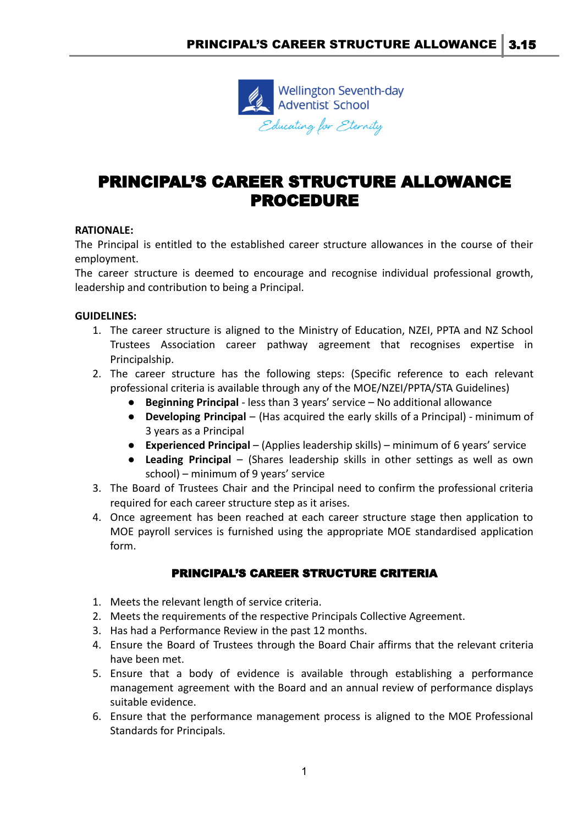

## PRINCIPAL'S CAREER STRUCTURE ALLOWANCE PROCEDURE

## **RATIONALE:**

The Principal is entitled to the established career structure allowances in the course of their employment.

The career structure is deemed to encourage and recognise individual professional growth, leadership and contribution to being a Principal.

## **GUIDELINES:**

- 1. The career structure is aligned to the Ministry of Education, NZEI, PPTA and NZ School Trustees Association career pathway agreement that recognises expertise in Principalship.
- 2. The career structure has the following steps: (Specific reference to each relevant professional criteria is available through any of the MOE/NZEI/PPTA/STA Guidelines)
	- **Beginning Principal** less than 3 years' service No additional allowance
	- **Developing Principal** (Has acquired the early skills of a Principal) minimum of 3 years as a Principal
	- **Experienced Principal** (Applies leadership skills) minimum of 6 years' service
	- **Leading Principal** (Shares leadership skills in other settings as well as own school) – minimum of 9 years' service
- 3. The Board of Trustees Chair and the Principal need to confirm the professional criteria required for each career structure step as it arises.
- 4. Once agreement has been reached at each career structure stage then application to MOE payroll services is furnished using the appropriate MOE standardised application form.

## PRINCIPAL'S CAREER STRUCTURE CRITERIA

- 1. Meets the relevant length of service criteria.
- 2. Meets the requirements of the respective Principals Collective Agreement.
- 3. Has had a Performance Review in the past 12 months.
- 4. Ensure the Board of Trustees through the Board Chair affirms that the relevant criteria have been met.
- 5. Ensure that a body of evidence is available through establishing a performance management agreement with the Board and an annual review of performance displays suitable evidence.
- 6. Ensure that the performance management process is aligned to the MOE Professional Standards for Principals.